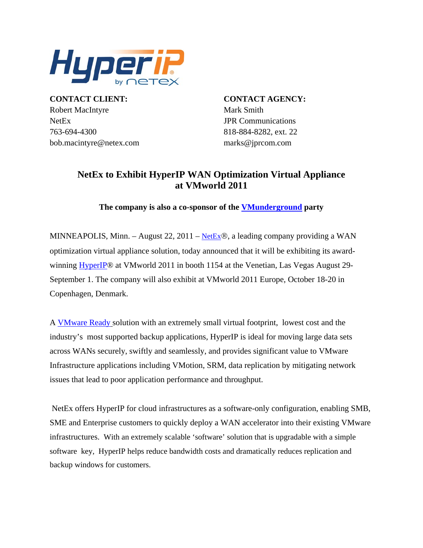

**CONTACT CLIENT: CONTACT AGENCY:** Robert MacIntyre Mark Smith NetEx JPR Communications 763-694-4300 818-884-8282, ext. 22 bob.macintyre@netex.com marks@jprcom.com

## **NetEx to Exhibit HyperIP WAN Optimization Virtual Appliance at VMworld 2011**

**The company is also a co-sponsor of the [VMunderground](http://www.vmunderground.com/?page_id=162) party** 

MINNEAPOLIS, Minn. – August 22, 2011 – [NetEx](http://www.netex.com/)®, a leading company providing a WAN optimization virtual appliance solution, today announced that it will be exhibiting its awardwinning [HyperIP®](http://www.netex.com/hyperip) at VMworld 2011 in booth 1154 at the Venetian, Las Vegas August 29- September 1. The company will also exhibit at VMworld 2011 Europe, October 18-20 in Copenhagen, Denmark.

A [VMware Ready](http://vmblog.com/archive/2010/05/03/netex-hyperip-achieves-vmware-ready-status.aspx) solution with an extremely small virtual footprint, lowest cost and the industry's most supported backup applications, HyperIP is ideal for moving large data sets across WANs securely, swiftly and seamlessly, and provides significant value to VMware Infrastructure applications including VMotion, SRM, data replication by mitigating network issues that lead to poor application performance and throughput.

 NetEx offers HyperIP for cloud infrastructures as a software-only configuration, enabling SMB, SME and Enterprise customers to quickly deploy a WAN accelerator into their existing VMware infrastructures. With an extremely scalable 'software' solution that is upgradable with a simple software key, HyperIP helps reduce bandwidth costs and dramatically reduces replication and backup windows for customers.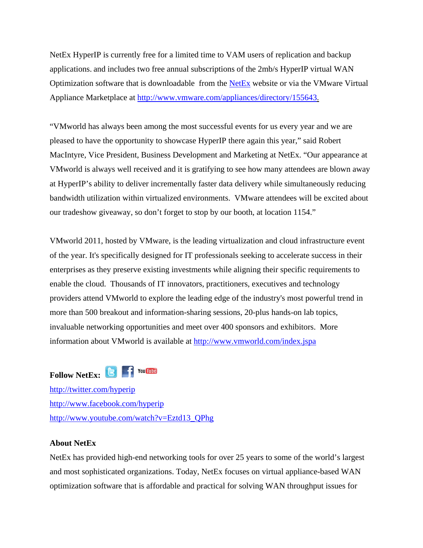NetEx HyperIP is currently free for a limited time to VAM users of replication and backup applications. and includes two free annual subscriptions of the 2mb/s HyperIP virtual WAN Optimization software that is downloadable from the [NetEx](http://www.netex.com/) website or via the VMware Virtual Appliance Marketplace at [http://www.vmware.com/appliances/directory/155643.](http://www.vmware.com/appliances/directory/155643)

"VMworld has always been among the most successful events for us every year and we are pleased to have the opportunity to showcase HyperIP there again this year," said Robert MacIntyre, Vice President, Business Development and Marketing at NetEx. "Our appearance at VMworld is always well received and it is gratifying to see how many attendees are blown away at HyperIP's ability to deliver incrementally faster data delivery while simultaneously reducing bandwidth utilization within virtualized environments. VMware attendees will be excited about our tradeshow giveaway, so don't forget to stop by our booth, at location 1154."

VMworld 2011, hosted by VMware, is the leading virtualization and cloud infrastructure event of the year. It's specifically designed for IT professionals seeking to accelerate success in their enterprises as they preserve existing investments while aligning their specific requirements to enable the cloud. Thousands of IT innovators, practitioners, executives and technology providers attend VMworld to explore the leading edge of the industry's most powerful trend in more than 500 breakout and information-sharing sessions, 20-plus hands-on lab topics, invaluable networking opportunities and meet over 400 sponsors and exhibitors. More information about VMworld is available at <http://www.vmworld.com/index.jspa>



<http://twitter.com/hyperip> <http://www.facebook.com/hyperip> [http://www.youtube.com/watch?v=Eztd13\\_QPhg](http://www.youtube.com/watch?v=Eztd13_QPhg)

## **About NetEx**

NetEx has provided high-end networking tools for over 25 years to some of the world's largest and most sophisticated organizations. Today, NetEx focuses on virtual appliance-based WAN optimization software that is affordable and practical for solving WAN throughput issues for